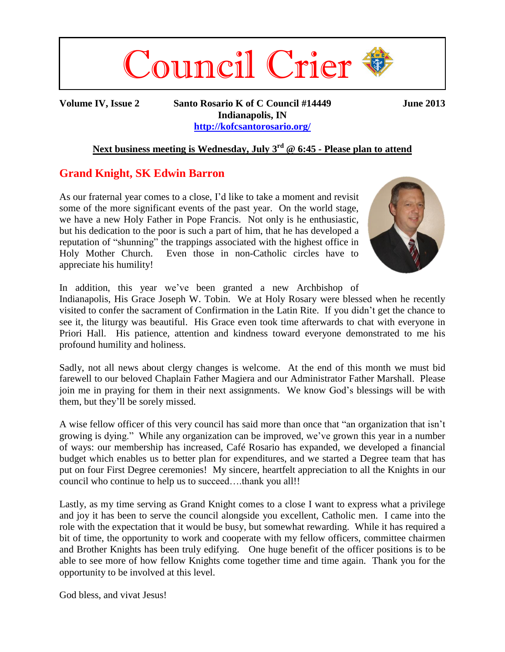

**Volume IV, Issue 2 Santo Rosario K of C Council #14449 June 2013 Indianapolis, IN <http://kofcsantorosario.org/>**

## **Next business meeting is Wednesday, July 3 rd @ 6:45 - Please plan to attend**

## **Grand Knight, SK Edwin Barron**

As our fraternal year comes to a close, I'd like to take a moment and revisit some of the more significant events of the past year. On the world stage, we have a new Holy Father in Pope Francis. Not only is he enthusiastic, but his dedication to the poor is such a part of him, that he has developed a reputation of "shunning" the trappings associated with the highest office in Holy Mother Church. Even those in non-Catholic circles have to appreciate his humility!



In addition, this year we've been granted a new Archbishop of Indianapolis, His Grace Joseph W. Tobin. We at Holy Rosary were blessed when he recently visited to confer the sacrament of Confirmation in the Latin Rite. If you didn't get the chance to see it, the liturgy was beautiful. His Grace even took time afterwards to chat with everyone in Priori Hall. His patience, attention and kindness toward everyone demonstrated to me his profound humility and holiness.

Sadly, not all news about clergy changes is welcome. At the end of this month we must bid farewell to our beloved Chaplain Father Magiera and our Administrator Father Marshall. Please join me in praying for them in their next assignments. We know God's blessings will be with them, but they'll be sorely missed.

A wise fellow officer of this very council has said more than once that "an organization that isn't growing is dying." While any organization can be improved, we've grown this year in a number of ways: our membership has increased, Café Rosario has expanded, we developed a financial budget which enables us to better plan for expenditures, and we started a Degree team that has put on four First Degree ceremonies! My sincere, heartfelt appreciation to all the Knights in our council who continue to help us to succeed….thank you all!!

Lastly, as my time serving as Grand Knight comes to a close I want to express what a privilege and joy it has been to serve the council alongside you excellent, Catholic men. I came into the role with the expectation that it would be busy, but somewhat rewarding. While it has required a bit of time, the opportunity to work and cooperate with my fellow officers, committee chairmen and Brother Knights has been truly edifying. One huge benefit of the officer positions is to be able to see more of how fellow Knights come together time and time again. Thank you for the opportunity to be involved at this level.

God bless, and vivat Jesus!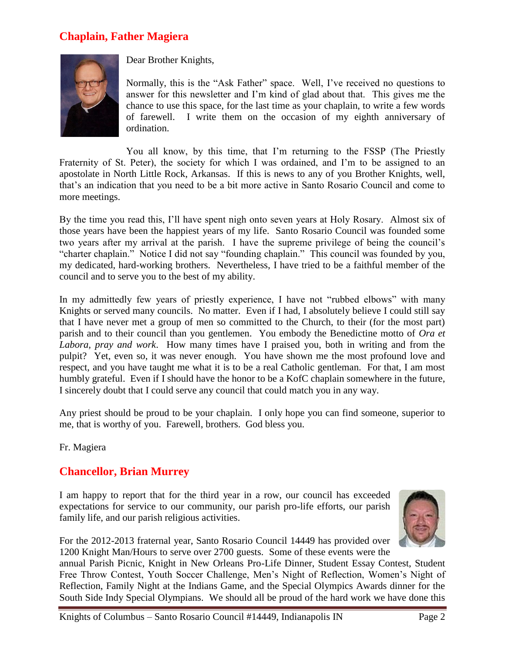# **Chaplain, Father Magiera**



Dear Brother Knights,

Normally, this is the "Ask Father" space. Well, I've received no questions to answer for this newsletter and I'm kind of glad about that. This gives me the chance to use this space, for the last time as your chaplain, to write a few words of farewell. I write them on the occasion of my eighth anniversary of ordination.

You all know, by this time, that I'm returning to the FSSP (The Priestly Fraternity of St. Peter), the society for which I was ordained, and I'm to be assigned to an apostolate in North Little Rock, Arkansas. If this is news to any of you Brother Knights, well, that's an indication that you need to be a bit more active in Santo Rosario Council and come to more meetings.

By the time you read this, I'll have spent nigh onto seven years at Holy Rosary. Almost six of those years have been the happiest years of my life. Santo Rosario Council was founded some two years after my arrival at the parish. I have the supreme privilege of being the council's "charter chaplain." Notice I did not say "founding chaplain." This council was founded by you, my dedicated, hard-working brothers. Nevertheless, I have tried to be a faithful member of the council and to serve you to the best of my ability.

In my admittedly few years of priestly experience. I have not "rubbed elbows" with many Knights or served many councils. No matter. Even if I had, I absolutely believe I could still say that I have never met a group of men so committed to the Church, to their (for the most part) parish and to their council than you gentlemen. You embody the Benedictine motto of *Ora et Labora, pray and work*. How many times have I praised you, both in writing and from the pulpit? Yet, even so, it was never enough. You have shown me the most profound love and respect, and you have taught me what it is to be a real Catholic gentleman. For that, I am most humbly grateful. Even if I should have the honor to be a KofC chaplain somewhere in the future, I sincerely doubt that I could serve any council that could match you in any way.

Any priest should be proud to be your chaplain. I only hope you can find someone, superior to me, that is worthy of you. Farewell, brothers. God bless you.

Fr. Magiera

## **Chancellor, Brian Murrey**

I am happy to report that for the third year in a row, our council has exceeded expectations for service to our community, our parish pro-life efforts, our parish family life, and our parish religious activities.



For the 2012-2013 fraternal year, Santo Rosario Council 14449 has provided over 1200 Knight Man/Hours to serve over 2700 guests. Some of these events were the

annual Parish Picnic, Knight in New Orleans Pro-Life Dinner, Student Essay Contest, Student Free Throw Contest, Youth Soccer Challenge, Men's Night of Reflection, Women's Night of Reflection, Family Night at the Indians Game, and the Special Olympics Awards dinner for the South Side Indy Special Olympians. We should all be proud of the hard work we have done this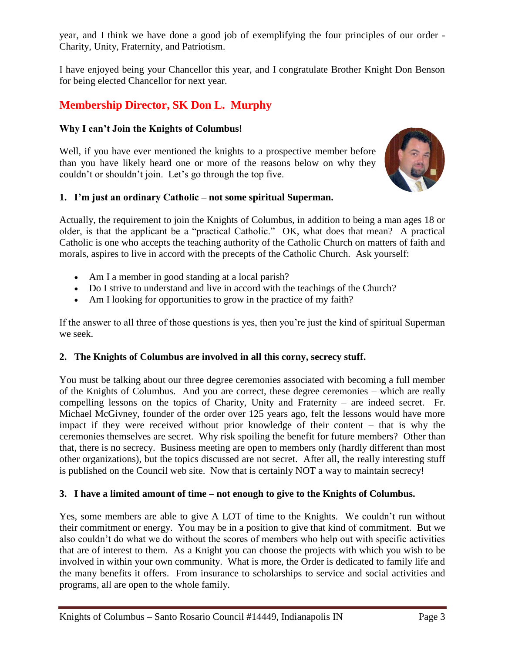year, and I think we have done a good job of exemplifying the four principles of our order - Charity, Unity, Fraternity, and Patriotism.

I have enjoyed being your Chancellor this year, and I congratulate Brother Knight Don Benson for being elected Chancellor for next year.

# **Membership Director, SK Don L. Murphy**

## **Why I can't Join the Knights of Columbus!**

Well, if you have ever mentioned the knights to a prospective member before than you have likely heard one or more of the reasons below on why they couldn't or shouldn't join. Let's go through the top five.



## **1. I'm just an ordinary Catholic – not some spiritual Superman.**

Actually, the requirement to join the Knights of Columbus, in addition to being a man ages 18 or older, is that the applicant be a "practical Catholic." OK, what does that mean? A practical Catholic is one who accepts the teaching authority of the Catholic Church on matters of faith and morals, aspires to live in accord with the precepts of the Catholic Church. Ask yourself:

- Am I a member in good standing at a local parish?
- Do I strive to understand and live in accord with the teachings of the Church?
- Am I looking for opportunities to grow in the practice of my faith?

If the answer to all three of those questions is yes, then you're just the kind of spiritual Superman we seek.

## **2. The Knights of Columbus are involved in all this corny, secrecy stuff.**

You must be talking about our three degree ceremonies associated with becoming a full member of the Knights of Columbus. And you are correct, these degree ceremonies – which are really compelling lessons on the topics of Charity, Unity and Fraternity – are indeed secret. Fr. Michael McGivney, founder of the order over 125 years ago, felt the lessons would have more impact if they were received without prior knowledge of their content – that is why the ceremonies themselves are secret. Why risk spoiling the benefit for future members? Other than that, there is no secrecy. Business meeting are open to members only (hardly different than most other organizations), but the topics discussed are not secret. After all, the really interesting stuff is published on the Council web site. Now that is certainly NOT a way to maintain secrecy!

## **3. I have a limited amount of time – not enough to give to the Knights of Columbus.**

Yes, some members are able to give A LOT of time to the Knights. We couldn't run without their commitment or energy. You may be in a position to give that kind of commitment. But we also couldn't do what we do without the scores of members who help out with specific activities that are of interest to them. As a Knight you can choose the projects with which you wish to be involved in within your own community. What is more, the Order is dedicated to family life and the many benefits it offers. From insurance to scholarships to service and social activities and programs, all are open to the whole family.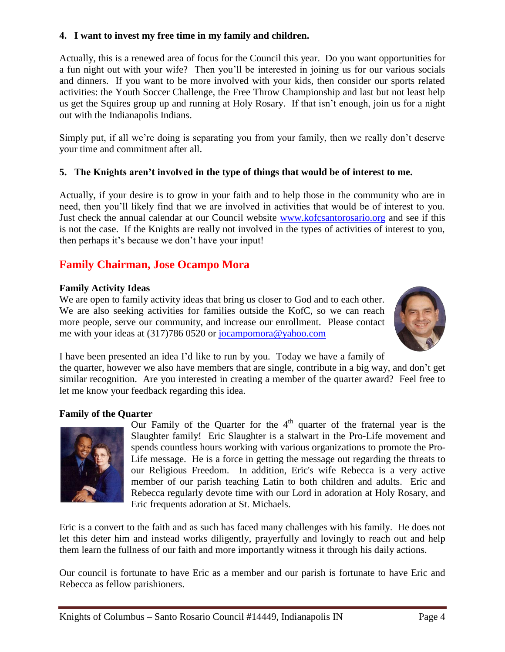### **4. I want to invest my free time in my family and children.**

Actually, this is a renewed area of focus for the Council this year. Do you want opportunities for a fun night out with your wife? Then you'll be interested in joining us for our various socials and dinners. If you want to be more involved with your kids, then consider our sports related activities: the Youth Soccer Challenge, the Free Throw Championship and last but not least help us get the Squires group up and running at Holy Rosary. If that isn't enough, join us for a night out with the Indianapolis Indians.

Simply put, if all we're doing is separating you from your family, then we really don't deserve your time and commitment after all.

## **5. The Knights aren't involved in the type of things that would be of interest to me.**

Actually, if your desire is to grow in your faith and to help those in the community who are in need, then you'll likely find that we are involved in activities that would be of interest to you. Just check the annual calendar at our Council website<www.kofcsantorosario.org> and see if this is not the case. If the Knights are really not involved in the types of activities of interest to you, then perhaps it's because we don't have your input!

# **Family Chairman, Jose Ocampo Mora**

### **Family Activity Ideas**

We are open to family activity ideas that bring us closer to God and to each other. We are also seeking activities for families outside the KofC, so we can reach more people, serve our community, and increase our enrollment. Please contact me with your ideas at (317)786 0520 or [jocampomora@yahoo.com](mailto:jocampomora@yahoo.com)



I have been presented an idea I'd like to run by you. Today we have a family of the quarter, however we also have members that are single, contribute in a big way, and don't get similar recognition. Are you interested in creating a member of the quarter award? Feel free to let me know your feedback regarding this idea.

### **Family of the Quarter**



Our Family of the Quarter for the  $4<sup>th</sup>$  quarter of the fraternal year is the Slaughter family! Eric Slaughter is a stalwart in the Pro-Life movement and spends countless hours working with various organizations to promote the Pro-Life message. He is a force in getting the message out regarding the threats to our Religious Freedom. In addition, Eric's wife Rebecca is a very active member of our parish teaching Latin to both children and adults. Eric and Rebecca regularly devote time with our Lord in adoration at Holy Rosary, and Eric frequents adoration at St. Michaels.

Eric is a convert to the faith and as such has faced many challenges with his family. He does not let this deter him and instead works diligently, prayerfully and lovingly to reach out and help them learn the fullness of our faith and more importantly witness it through his daily actions.

Our council is fortunate to have Eric as a member and our parish is fortunate to have Eric and Rebecca as fellow parishioners.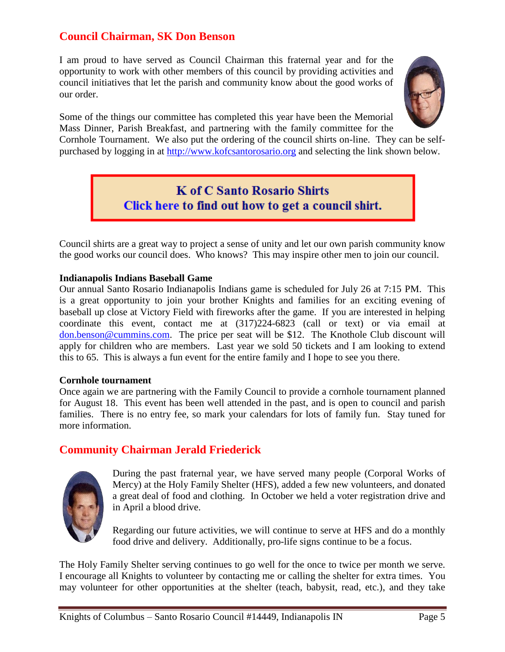# **Council Chairman, SK Don Benson**

I am proud to have served as Council Chairman this fraternal year and for the opportunity to work with other members of this council by providing activities and council initiatives that let the parish and community know about the good works of our order.



Some of the things our committee has completed this year have been the Memorial Mass Dinner, Parish Breakfast, and partnering with the family committee for the

Cornhole Tournament. We also put the ordering of the council shirts on-line. They can be selfpurchased by logging in at [http://www.kofcsantorosario.org](http://www.kofcsantorosario.org/) and selecting the link shown below.

> **K of C Santo Rosario Shirts** Click here to find out how to get a council shirt.

Council shirts are a great way to project a sense of unity and let our own parish community know the good works our council does. Who knows? This may inspire other men to join our council.

#### **Indianapolis Indians Baseball Game**

Our annual Santo Rosario Indianapolis Indians game is scheduled for July 26 at 7:15 PM. This is a great opportunity to join your brother Knights and families for an exciting evening of baseball up close at Victory Field with fireworks after the game. If you are interested in helping coordinate this event, contact me at (317)224-6823 (call or text) or via email at [don.benson@cummins.com.](mailto:don.benson@cummins.com) The price per seat will be \$12. The Knothole Club discount will apply for children who are members. Last year we sold 50 tickets and I am looking to extend this to 65. This is always a fun event for the entire family and I hope to see you there.

#### **Cornhole tournament**

Once again we are partnering with the Family Council to provide a cornhole tournament planned for August 18. This event has been well attended in the past, and is open to council and parish families. There is no entry fee, so mark your calendars for lots of family fun. Stay tuned for more information.

## **Community Chairman Jerald Friederick**



During the past fraternal year, we have served many people (Corporal Works of Mercy) at the Holy Family Shelter (HFS), added a few new volunteers, and donated a great deal of food and clothing. In October we held a voter registration drive and in April a blood drive.

Regarding our future activities, we will continue to serve at HFS and do a monthly food drive and delivery. Additionally, pro-life signs continue to be a focus.

The Holy Family Shelter serving continues to go well for the once to twice per month we serve. I encourage all Knights to volunteer by contacting me or calling the shelter for extra times. You may volunteer for other opportunities at the shelter (teach, babysit, read, etc.), and they take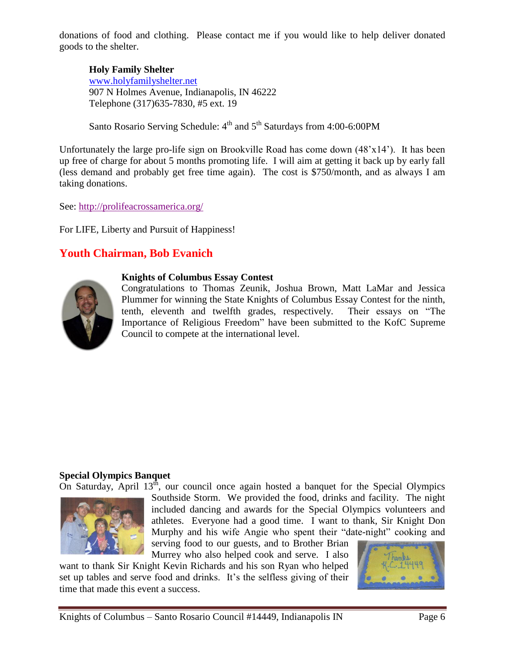donations of food and clothing. Please contact me if you would like to help deliver donated goods to the shelter.

**Holy Family Shelter** [www.holyfamilyshelter.net](http://www.holyfamilyshelter.net/) 907 N Holmes Avenue, Indianapolis, IN 46222 Telephone (317)635-7830, #5 ext. 19

Santo Rosario Serving Schedule: 4<sup>th</sup> and 5<sup>th</sup> Saturdays from 4:00-6:00PM

Unfortunately the large pro-life sign on Brookville Road has come down (48'x14'). It has been up free of charge for about 5 months promoting life. I will aim at getting it back up by early fall (less demand and probably get free time again). The cost is \$750/month, and as always I am taking donations.

See:<http://prolifeacrossamerica.org/>

For LIFE, Liberty and Pursuit of Happiness!

# **Youth Chairman, Bob Evanich**



#### **Knights of Columbus Essay Contest**

Congratulations to Thomas Zeunik, Joshua Brown, Matt LaMar and Jessica Plummer for winning the State Knights of Columbus Essay Contest for the ninth, tenth, eleventh and twelfth grades, respectively. Their essays on "The Importance of Religious Freedom" have been submitted to the KofC Supreme Council to compete at the international level.

#### **Special Olympics Banquet**

On Saturday, April  $13<sup>th</sup>$ , our council once again hosted a banquet for the Special Olympics



Southside Storm. We provided the food, drinks and facility. The night included dancing and awards for the Special Olympics volunteers and athletes. Everyone had a good time. I want to thank, Sir Knight Don Murphy and his wife Angie who spent their "date-night" cooking and serving food to our guests, and to Brother Brian Murrey who also helped cook and serve. I also

want to thank Sir Knight Kevin Richards and his son Ryan who helped set up tables and serve food and drinks. It's the selfless giving of their time that made this event a success.

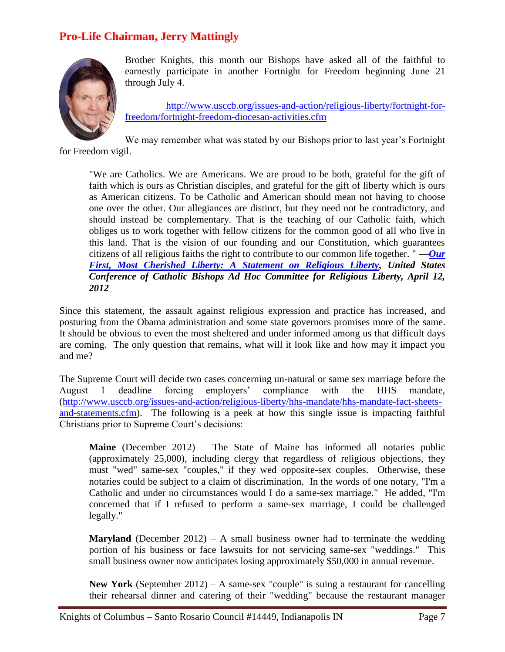# **Pro-Life Chairman, Jerry Mattingly**



Brother Knights, this month our Bishops have asked all of the faithful to earnestly participate in another Fortnight for Freedom beginning June 21 through July 4.

[http://www.usccb.org/issues-and-action/religious-liberty/fortnight-for](http://www.usccb.org/issues-and-action/religious-liberty/fortnight-for-freedom/fortnight-freedom-diocesan-activities.cfm)[freedom/fortnight-freedom-diocesan-activities.cfm](http://www.usccb.org/issues-and-action/religious-liberty/fortnight-for-freedom/fortnight-freedom-diocesan-activities.cfm)

We may remember what was stated by our Bishops prior to last year's Fortnight for Freedom vigil.

"We are Catholics. We are Americans. We are proud to be both, grateful for the gift of faith which is ours as Christian disciples, and grateful for the gift of liberty which is ours as American citizens. To be Catholic and American should mean not having to choose one over the other. Our allegiances are distinct, but they need not be contradictory, and should instead be complementary. That is the teaching of our Catholic faith, which obliges us to work together with fellow citizens for the common good of all who live in this land. That is the vision of our founding and our Constitution, which guarantees citizens of all religious faiths the right to contribute to our common life together. " —*[Our](http://www.usccb.org/issues-and-action/religious-liberty/our-first-most-cherished-liberty.cfm)  [First, Most Cherished Liberty: A Statement on Religious Liberty,](http://www.usccb.org/issues-and-action/religious-liberty/our-first-most-cherished-liberty.cfm) United States Conference of Catholic Bishops Ad Hoc Committee for Religious Liberty, April 12, 2012*

Since this statement, the assault against religious expression and practice has increased, and posturing from the Obama administration and some state governors promises more of the same. It should be obvious to even the most sheltered and under informed among us that difficult days are coming. The only question that remains, what will it look like and how may it impact you and me?

The Supreme Court will decide two cases concerning un-natural or same sex marriage before the August 1 deadline forcing employers' compliance with the HHS mandate, [\(http://www.usccb.org/issues-and-action/religious-liberty/hhs-mandate/hhs-mandate-fact-sheets](http://www.usccb.org/issues-and-action/religious-liberty/hhs-mandate/hhs-mandate-fact-sheets-and-statements.cfm)[and-statements.cfm\)](http://www.usccb.org/issues-and-action/religious-liberty/hhs-mandate/hhs-mandate-fact-sheets-and-statements.cfm). The following is a peek at how this single issue is impacting faithful Christians prior to Supreme Court's decisions:

**Maine** (December 2012) – The State of Maine has informed all notaries public (approximately 25,000), including clergy that regardless of religious objections, they must "wed" same-sex "couples," if they wed opposite-sex couples. Otherwise, these notaries could be subject to a claim of discrimination. In the words of one notary, "I'm a Catholic and under no circumstances would I do a same-sex marriage." He added, "I'm concerned that if I refused to perform a same-sex marriage, I could be challenged legally."

**Maryland** (December 2012) – A small business owner had to terminate the wedding portion of his business or face lawsuits for not servicing same-sex "weddings." This small business owner now anticipates losing approximately \$50,000 in annual revenue.

**New York** (September 2012) – A same-sex "couple" is suing a restaurant for cancelling their rehearsal dinner and catering of their "wedding" because the restaurant manager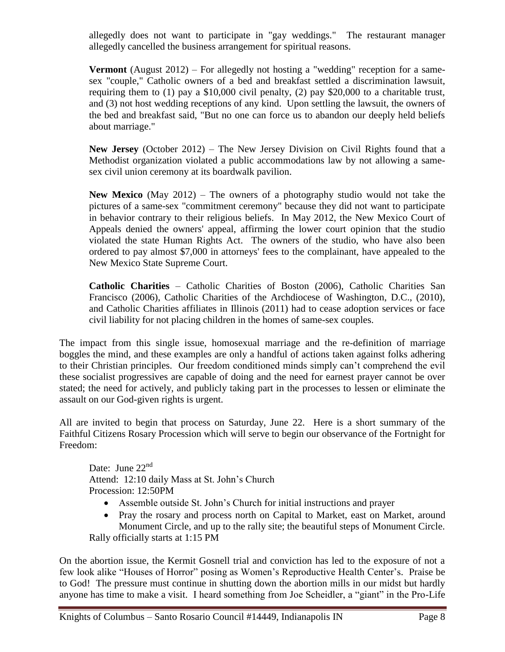allegedly does not want to participate in "gay weddings." The restaurant manager allegedly cancelled the business arrangement for spiritual reasons.

**Vermont** (August 2012) – For allegedly not hosting a "wedding" reception for a samesex "couple," Catholic owners of a bed and breakfast settled a discrimination lawsuit, requiring them to (1) pay a \$10,000 civil penalty, (2) pay \$20,000 to a charitable trust, and (3) not host wedding receptions of any kind. Upon settling the lawsuit, the owners of the bed and breakfast said, "But no one can force us to abandon our deeply held beliefs about marriage."

**New Jersey** (October 2012) – The New Jersey Division on Civil Rights found that a Methodist organization violated a public accommodations law by not allowing a samesex civil union ceremony at its boardwalk pavilion.

**New Mexico** (May 2012) – The owners of a photography studio would not take the pictures of a same-sex "commitment ceremony" because they did not want to participate in behavior contrary to their religious beliefs. In May 2012, the New Mexico Court of Appeals denied the owners' appeal, affirming the lower court opinion that the studio violated the state Human Rights Act. The owners of the studio, who have also been ordered to pay almost \$7,000 in attorneys' fees to the complainant, have appealed to the New Mexico State Supreme Court.

**Catholic Charities** – Catholic Charities of Boston (2006), Catholic Charities San Francisco (2006), Catholic Charities of the Archdiocese of Washington, D.C., (2010), and Catholic Charities affiliates in Illinois (2011) had to cease adoption services or face civil liability for not placing children in the homes of same-sex couples.

The impact from this single issue, homosexual marriage and the re-definition of marriage boggles the mind, and these examples are only a handful of actions taken against folks adhering to their Christian principles. Our freedom conditioned minds simply can't comprehend the evil these socialist progressives are capable of doing and the need for earnest prayer cannot be over stated; the need for actively, and publicly taking part in the processes to lessen or eliminate the assault on our God-given rights is urgent.

All are invited to begin that process on Saturday, June 22. Here is a short summary of the Faithful Citizens Rosary Procession which will serve to begin our observance of the Fortnight for Freedom:

Date: June 22<sup>nd</sup> Attend: 12:10 daily Mass at St. John's Church Procession: 12:50PM

- Assemble outside St. John's Church for initial instructions and prayer
- Pray the rosary and process north on Capital to Market, east on Market, around Monument Circle, and up to the rally site; the beautiful steps of Monument Circle. Rally officially starts at 1:15 PM

On the abortion issue, the Kermit Gosnell trial and conviction has led to the exposure of not a few look alike "Houses of Horror" posing as Women's Reproductive Health Center's. Praise be to God! The pressure must continue in shutting down the abortion mills in our midst but hardly anyone has time to make a visit. I heard something from Joe Scheidler, a "giant" in the Pro-Life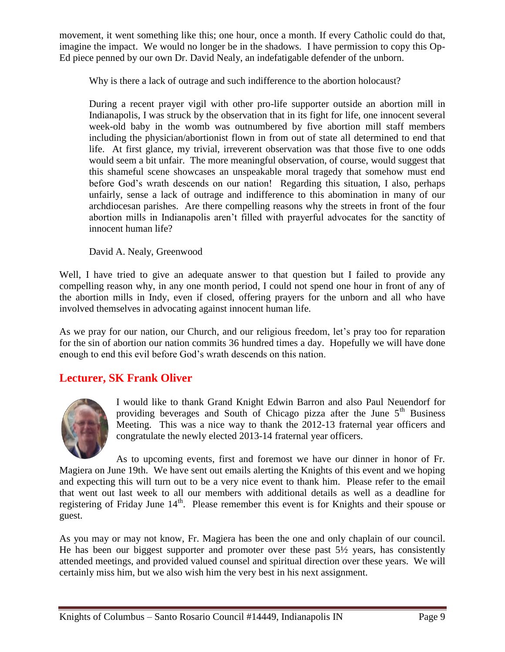movement, it went something like this; one hour, once a month. If every Catholic could do that, imagine the impact. We would no longer be in the shadows. I have permission to copy this Op-Ed piece penned by our own Dr. David Nealy, an indefatigable defender of the unborn.

Why is there a lack of outrage and such indifference to the abortion holocaust?

During a recent prayer vigil with other pro-life supporter outside an abortion mill in Indianapolis, I was struck by the observation that in its fight for life, one innocent several week-old baby in the womb was outnumbered by five abortion mill staff members including the physician/abortionist flown in from out of state all determined to end that life. At first glance, my trivial, irreverent observation was that those five to one odds would seem a bit unfair. The more meaningful observation, of course, would suggest that this shameful scene showcases an unspeakable moral tragedy that somehow must end before God's wrath descends on our nation! Regarding this situation, I also, perhaps unfairly, sense a lack of outrage and indifference to this abomination in many of our archdiocesan parishes. Are there compelling reasons why the streets in front of the four abortion mills in Indianapolis aren't filled with prayerful advocates for the sanctity of innocent human life?

David A. Nealy, Greenwood

Well, I have tried to give an adequate answer to that question but I failed to provide any compelling reason why, in any one month period, I could not spend one hour in front of any of the abortion mills in Indy, even if closed, offering prayers for the unborn and all who have involved themselves in advocating against innocent human life.

As we pray for our nation, our Church, and our religious freedom, let's pray too for reparation for the sin of abortion our nation commits 36 hundred times a day. Hopefully we will have done enough to end this evil before God's wrath descends on this nation.

# **Lecturer, SK Frank Oliver**



I would like to thank Grand Knight Edwin Barron and also Paul Neuendorf for providing beverages and South of Chicago pizza after the June  $5<sup>th</sup>$  Business Meeting. This was a nice way to thank the 2012-13 fraternal year officers and congratulate the newly elected 2013-14 fraternal year officers.

As to upcoming events, first and foremost we have our dinner in honor of Fr. Magiera on June 19th. We have sent out emails alerting the Knights of this event and we hoping and expecting this will turn out to be a very nice event to thank him. Please refer to the email that went out last week to all our members with additional details as well as a deadline for registering of Friday June  $14<sup>th</sup>$ . Please remember this event is for Knights and their spouse or guest.

As you may or may not know, Fr. Magiera has been the one and only chaplain of our council. He has been our biggest supporter and promoter over these past  $5\frac{1}{2}$  years, has consistently attended meetings, and provided valued counsel and spiritual direction over these years. We will certainly miss him, but we also wish him the very best in his next assignment.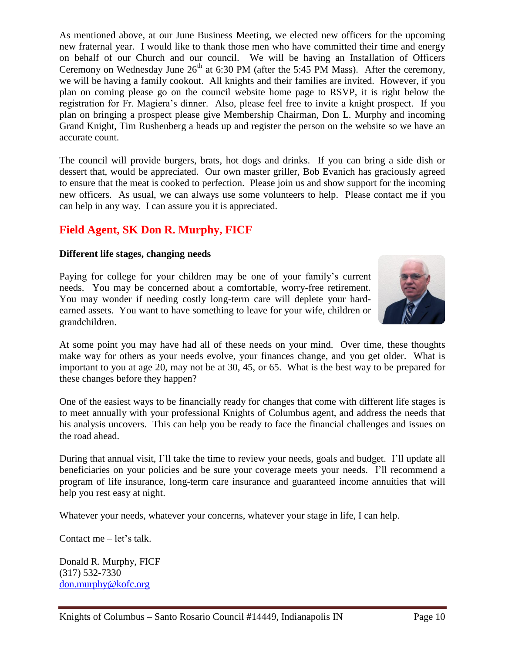As mentioned above, at our June Business Meeting, we elected new officers for the upcoming new fraternal year. I would like to thank those men who have committed their time and energy on behalf of our Church and our council. We will be having an Installation of Officers Ceremony on Wednesday June  $26<sup>th</sup>$  at 6:30 PM (after the 5:45 PM Mass). After the ceremony, we will be having a family cookout. All knights and their families are invited. However, if you plan on coming please go on the council website home page to RSVP, it is right below the registration for Fr. Magiera's dinner. Also, please feel free to invite a knight prospect. If you plan on bringing a prospect please give Membership Chairman, Don L. Murphy and incoming Grand Knight, Tim Rushenberg a heads up and register the person on the website so we have an accurate count.

The council will provide burgers, brats, hot dogs and drinks. If you can bring a side dish or dessert that, would be appreciated. Our own master griller, Bob Evanich has graciously agreed to ensure that the meat is cooked to perfection. Please join us and show support for the incoming new officers. As usual, we can always use some volunteers to help. Please contact me if you can help in any way. I can assure you it is appreciated.

# **Field Agent, SK Don R. Murphy, FICF**

### **Different life stages, changing needs**

Paying for college for your children may be one of your family's current needs. You may be concerned about a comfortable, worry-free retirement. You may wonder if needing costly long-term care will deplete your hardearned assets. You want to have something to leave for your wife, children or grandchildren.



At some point you may have had all of these needs on your mind. Over time, these thoughts make way for others as your needs evolve, your finances change, and you get older. What is important to you at age 20, may not be at 30, 45, or 65. What is the best way to be prepared for these changes before they happen?

One of the easiest ways to be financially ready for changes that come with different life stages is to meet annually with your professional Knights of Columbus agent, and address the needs that his analysis uncovers. This can help you be ready to face the financial challenges and issues on the road ahead.

During that annual visit, I'll take the time to review your needs, goals and budget. I'll update all beneficiaries on your policies and be sure your coverage meets your needs. I'll recommend a program of life insurance, long-term care insurance and guaranteed income annuities that will help you rest easy at night.

Whatever your needs, whatever your concerns, whatever your stage in life, I can help.

Contact me – let's talk.

Donald R. Murphy, FICF (317) 532-7330 [don.murphy@kofc.org](mailto:don.murphy@kofc.org)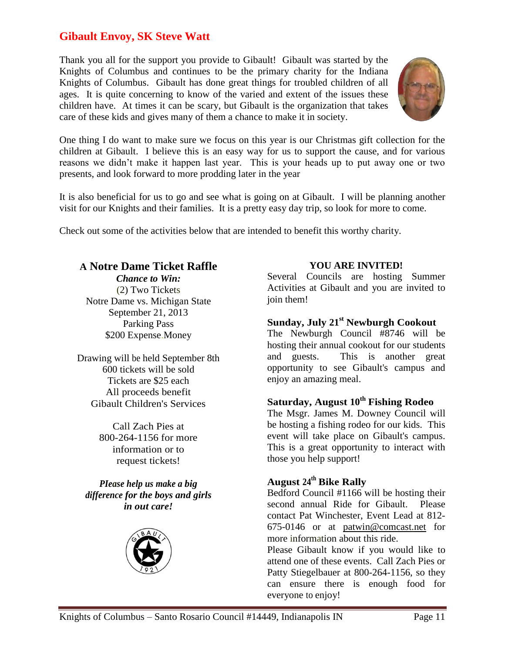# **Gibault Envoy, SK Steve Watt**

Thank you all for the support you provide to Gibault! Gibault was started by the Knights of Columbus and continues to be the primary charity for the Indiana Knights of Columbus. Gibault has done great things for troubled children of all ages. It is quite concerning to know of the varied and extent of the issues these children have. At times it can be scary, but Gibault is the organization that takes care of these kids and gives many of them a chance to make it in society.



One thing I do want to make sure we focus on this year is our Christmas gift collection for the children at Gibault. I believe this is an easy way for us to support the cause, and for various reasons we didn't make it happen last year. This is your heads up to put away one or two presents, and look forward to more prodding later in the year

It is also beneficial for us to go and see what is going on at Gibault. I will be planning another visit for our Knights and their families. It is a pretty easy day trip, so look for more to come.

Check out some of the activities below that are intended to benefit this worthy charity.

# **A Notre Dame Ticket Raffle**

*Chance to Win:* (2) Two Tickets Notre Dame vs. Michigan State September 21, 2013 Parking Pass \$200 Expense.Money

Drawing will be held September 8th 600 tickets will be sold Tickets are \$25 each All proceeds benefit Gibault Children's Services

> Call Zach Pies at 800-264-1156 for more information or to request tickets!

*PIease help us make a big difference for the boys and girls in out care!*



## **YOU ARE INVITED!**

Several Councils are hosting Summer Activities at Gibault and you are invited to join them!

## **Sunday, July 21st Newburgh Cookout**

The Newburgh Council #8746 will be hosting their annual cookout for our students and guests. This is another great opportunity to see Gibault's campus and enjoy an amazing meal.

## **Saturday, August 10th Fishing Rodeo**

The Msgr. James M. Downey Council will be hosting a fishing rodeo for our kids. This event will take place on Gibault's campus. This is a great opportunity to interact with those you help support!

# **August 24th Bike Rally**

Bedford Council #1166 will be hosting their second annual Ride for Gibault. Please contact Pat Winchester, Event Lead at 812- 675-0146 or at [patwin@comcast.net](mailto:patwin@comcast.net) for more information about this ride.

Please Gibault know if you would like to attend one of these events. Call Zach Pies or Patty Stiegelbauer at 800-264-1156, so they can ensure there is enough food for everyone to enjoy!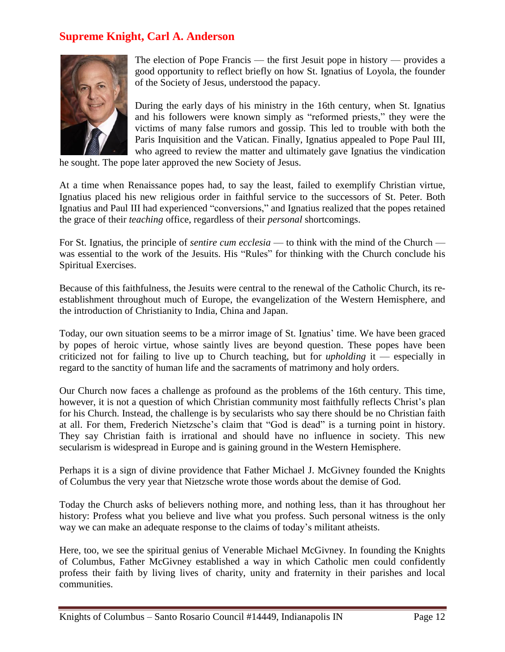## **Supreme Knight, Carl A. Anderson**



The election of Pope Francis — the first Jesuit pope in history — provides a good opportunity to reflect briefly on how St. Ignatius of Loyola, the founder of the Society of Jesus, understood the papacy.

During the early days of his ministry in the 16th century, when St. Ignatius and his followers were known simply as "reformed priests," they were the victims of many false rumors and gossip. This led to trouble with both the Paris Inquisition and the Vatican. Finally, Ignatius appealed to Pope Paul III, who agreed to review the matter and ultimately gave Ignatius the vindication

he sought. The pope later approved the new Society of Jesus.

At a time when Renaissance popes had, to say the least, failed to exemplify Christian virtue, Ignatius placed his new religious order in faithful service to the successors of St. Peter. Both Ignatius and Paul III had experienced "conversions," and Ignatius realized that the popes retained the grace of their *teaching* office, regardless of their *personal* shortcomings.

For St. Ignatius, the principle of *sentire cum ecclesia* — to think with the mind of the Church was essential to the work of the Jesuits. His "Rules" for thinking with the Church conclude his Spiritual Exercises.

Because of this faithfulness, the Jesuits were central to the renewal of the Catholic Church, its reestablishment throughout much of Europe, the evangelization of the Western Hemisphere, and the introduction of Christianity to India, China and Japan.

Today, our own situation seems to be a mirror image of St. Ignatius' time. We have been graced by popes of heroic virtue, whose saintly lives are beyond question. These popes have been criticized not for failing to live up to Church teaching, but for *upholding* it — especially in regard to the sanctity of human life and the sacraments of matrimony and holy orders.

Our Church now faces a challenge as profound as the problems of the 16th century. This time, however, it is not a question of which Christian community most faithfully reflects Christ's plan for his Church. Instead, the challenge is by secularists who say there should be no Christian faith at all. For them, Frederich Nietzsche's claim that "God is dead" is a turning point in history. They say Christian faith is irrational and should have no influence in society. This new secularism is widespread in Europe and is gaining ground in the Western Hemisphere.

Perhaps it is a sign of divine providence that Father Michael J. McGivney founded the Knights of Columbus the very year that Nietzsche wrote those words about the demise of God.

Today the Church asks of believers nothing more, and nothing less, than it has throughout her history: Profess what you believe and live what you profess. Such personal witness is the only way we can make an adequate response to the claims of today's militant atheists.

Here, too, we see the spiritual genius of Venerable Michael McGivney. In founding the Knights of Columbus, Father McGivney established a way in which Catholic men could confidently profess their faith by living lives of charity, unity and fraternity in their parishes and local communities.